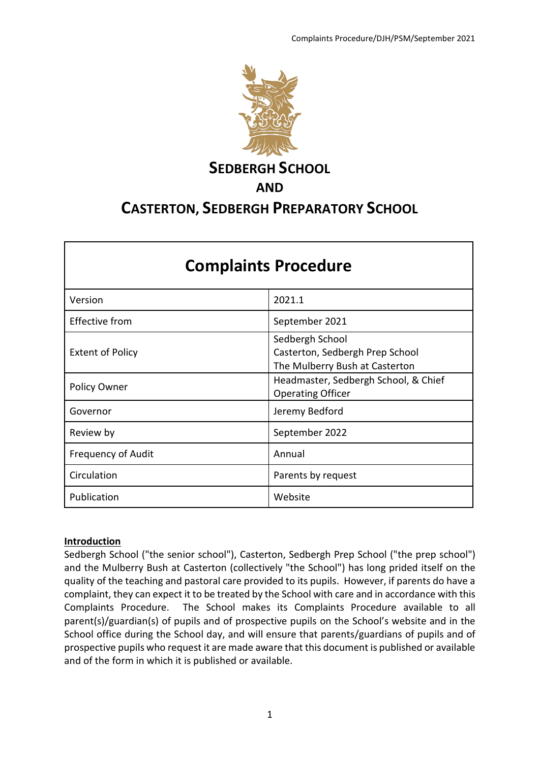

# **SEDBERGH SCHOOL AND CASTERTON, SEDBERGH PREPARATORY SCHOOL**

| <b>Complaints Procedure</b> |                                                                                      |  |
|-----------------------------|--------------------------------------------------------------------------------------|--|
| Version                     | 2021.1                                                                               |  |
| <b>Effective from</b>       | September 2021                                                                       |  |
| <b>Extent of Policy</b>     | Sedbergh School<br>Casterton, Sedbergh Prep School<br>The Mulberry Bush at Casterton |  |
| Policy Owner                | Headmaster, Sedbergh School, & Chief<br><b>Operating Officer</b>                     |  |
| Governor                    | Jeremy Bedford                                                                       |  |
| Review by                   | September 2022                                                                       |  |
| Frequency of Audit          | Annual                                                                               |  |
| Circulation                 | Parents by request                                                                   |  |
| Publication                 | Website                                                                              |  |

## **Introduction**

Sedbergh School ("the senior school"), Casterton, Sedbergh Prep School ("the prep school") and the Mulberry Bush at Casterton (collectively "the School") has long prided itself on the quality of the teaching and pastoral care provided to its pupils. However, if parents do have a complaint, they can expect it to be treated by the School with care and in accordance with this Complaints Procedure. The School makes its Complaints Procedure available to all parent(s)/guardian(s) of pupils and of prospective pupils on the School's website and in the School office during the School day, and will ensure that parents/guardians of pupils and of prospective pupils who request it are made aware that this document is published or available and of the form in which it is published or available.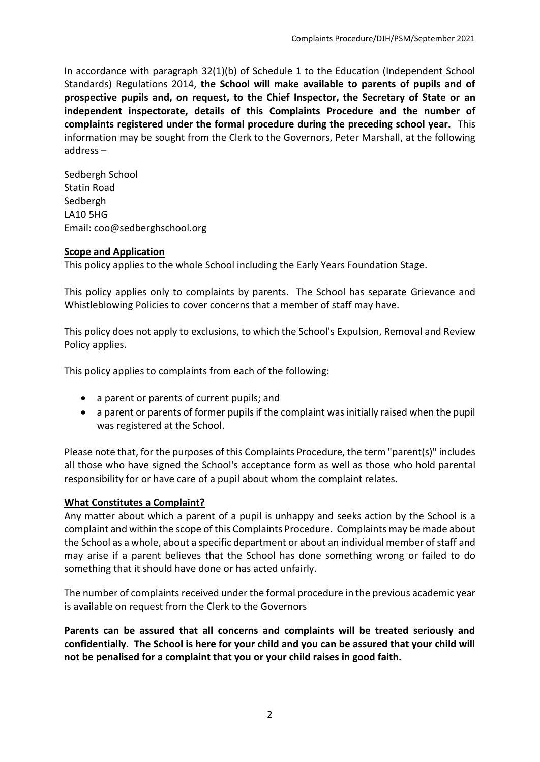In accordance with paragraph 32(1)(b) of Schedule 1 to the Education (Independent School Standards) Regulations 2014, **the School will make available to parents of pupils and of prospective pupils and, on request, to the Chief Inspector, the Secretary of State or an independent inspectorate, details of this Complaints Procedure and the number of complaints registered under the formal procedure during the preceding school year.** This information may be sought from the Clerk to the Governors, Peter Marshall, at the following address –

Sedbergh School Statin Road Sedbergh LA10 5HG Email: coo@sedberghschool.org

## **Scope and Application**

This policy applies to the whole School including the Early Years Foundation Stage.

This policy applies only to complaints by parents. The School has separate Grievance and Whistleblowing Policies to cover concerns that a member of staff may have.

This policy does not apply to exclusions, to which the School's Expulsion, Removal and Review Policy applies.

This policy applies to complaints from each of the following:

- a parent or parents of current pupils; and
- a parent or parents of former pupils if the complaint was initially raised when the pupil was registered at the School.

Please note that, for the purposes of this Complaints Procedure, the term "parent(s)" includes all those who have signed the School's acceptance form as well as those who hold parental responsibility for or have care of a pupil about whom the complaint relates.

## **What Constitutes a Complaint?**

Any matter about which a parent of a pupil is unhappy and seeks action by the School is a complaint and within the scope of this Complaints Procedure. Complaints may be made about the School as a whole, about a specific department or about an individual member of staff and may arise if a parent believes that the School has done something wrong or failed to do something that it should have done or has acted unfairly.

The number of complaints received under the formal procedure in the previous academic year is available on request from the Clerk to the Governors

**Parents can be assured that all concerns and complaints will be treated seriously and confidentially. The School is here for your child and you can be assured that your child will not be penalised for a complaint that you or your child raises in good faith.**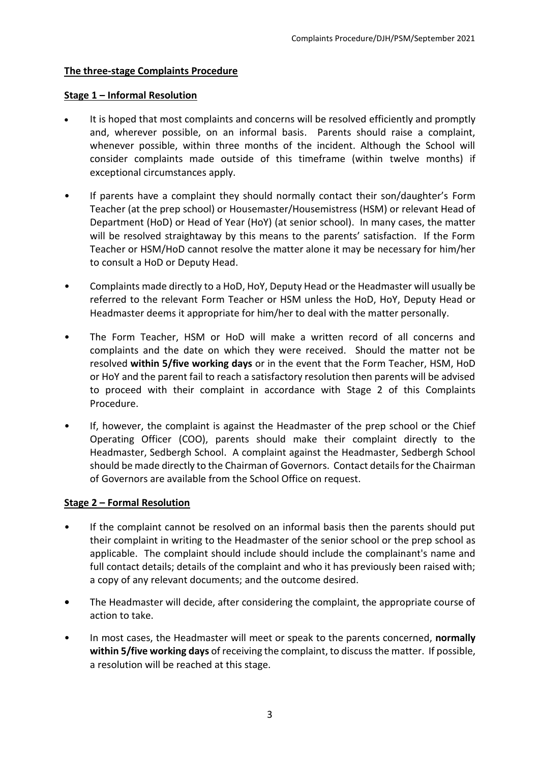## **The three-stage Complaints Procedure**

## **Stage 1 – Informal Resolution**

- It is hoped that most complaints and concerns will be resolved efficiently and promptly and, wherever possible, on an informal basis. Parents should raise a complaint, whenever possible, within three months of the incident. Although the School will consider complaints made outside of this timeframe (within twelve months) if exceptional circumstances apply.
- If parents have a complaint they should normally contact their son/daughter's Form Teacher (at the prep school) or Housemaster/Housemistress (HSM) or relevant Head of Department (HoD) or Head of Year (HoY) (at senior school). In many cases, the matter will be resolved straightaway by this means to the parents' satisfaction. If the Form Teacher or HSM/HoD cannot resolve the matter alone it may be necessary for him/her to consult a HoD or Deputy Head.
- Complaints made directly to a HoD, HoY, Deputy Head or the Headmaster will usually be referred to the relevant Form Teacher or HSM unless the HoD, HoY, Deputy Head or Headmaster deems it appropriate for him/her to deal with the matter personally.
- The Form Teacher, HSM or HoD will make a written record of all concerns and complaints and the date on which they were received. Should the matter not be resolved **within 5/five working days** or in the event that the Form Teacher, HSM, HoD or HoY and the parent fail to reach a satisfactory resolution then parents will be advised to proceed with their complaint in accordance with Stage 2 of this Complaints Procedure.
- If, however, the complaint is against the Headmaster of the prep school or the Chief Operating Officer (COO), parents should make their complaint directly to the Headmaster, Sedbergh School. A complaint against the Headmaster, Sedbergh School should be made directly to the Chairman of Governors. Contact details for the Chairman of Governors are available from the School Office on request.

## **Stage 2 – Formal Resolution**

- If the complaint cannot be resolved on an informal basis then the parents should put their complaint in writing to the Headmaster of the senior school or the prep school as applicable. The complaint should include should include the complainant's name and full contact details; details of the complaint and who it has previously been raised with; a copy of any relevant documents; and the outcome desired.
- **•** The Headmaster will decide, after considering the complaint, the appropriate course of action to take.
- In most cases, the Headmaster will meet or speak to the parents concerned, **normally within 5/five working days** of receiving the complaint, to discuss the matter. If possible, a resolution will be reached at this stage.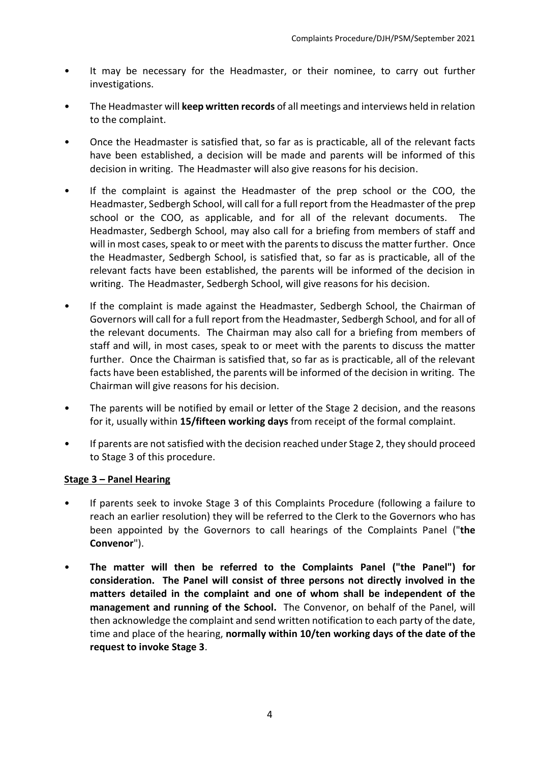- It may be necessary for the Headmaster, or their nominee, to carry out further investigations.
- The Headmaster will **keep written records** of all meetings and interviews held in relation to the complaint.
- Once the Headmaster is satisfied that, so far as is practicable, all of the relevant facts have been established, a decision will be made and parents will be informed of this decision in writing. The Headmaster will also give reasons for his decision.
- If the complaint is against the Headmaster of the prep school or the COO, the Headmaster, Sedbergh School, will call for a full report from the Headmaster of the prep school or the COO, as applicable, and for all of the relevant documents. The Headmaster, Sedbergh School, may also call for a briefing from members of staff and will in most cases, speak to or meet with the parents to discuss the matter further. Once the Headmaster, Sedbergh School, is satisfied that, so far as is practicable, all of the relevant facts have been established, the parents will be informed of the decision in writing. The Headmaster, Sedbergh School, will give reasons for his decision.
- If the complaint is made against the Headmaster, Sedbergh School, the Chairman of Governors will call for a full report from the Headmaster, Sedbergh School, and for all of the relevant documents. The Chairman may also call for a briefing from members of staff and will, in most cases, speak to or meet with the parents to discuss the matter further. Once the Chairman is satisfied that, so far as is practicable, all of the relevant facts have been established, the parents will be informed of the decision in writing. The Chairman will give reasons for his decision.
- The parents will be notified by email or letter of the Stage 2 decision, and the reasons for it, usually within **15/fifteen working days** from receipt of the formal complaint.
- If parents are not satisfied with the decision reached under Stage 2, they should proceed to Stage 3 of this procedure.

## **Stage 3 – Panel Hearing**

- If parents seek to invoke Stage 3 of this Complaints Procedure (following a failure to reach an earlier resolution) they will be referred to the Clerk to the Governors who has been appointed by the Governors to call hearings of the Complaints Panel ("**the Convenor**").
- **The matter will then be referred to the Complaints Panel ("the Panel") for consideration. The Panel will consist of three persons not directly involved in the matters detailed in the complaint and one of whom shall be independent of the management and running of the School.** The Convenor, on behalf of the Panel, will then acknowledge the complaint and send written notification to each party of the date, time and place of the hearing, **normally within 10/ten working days of the date of the request to invoke Stage 3**.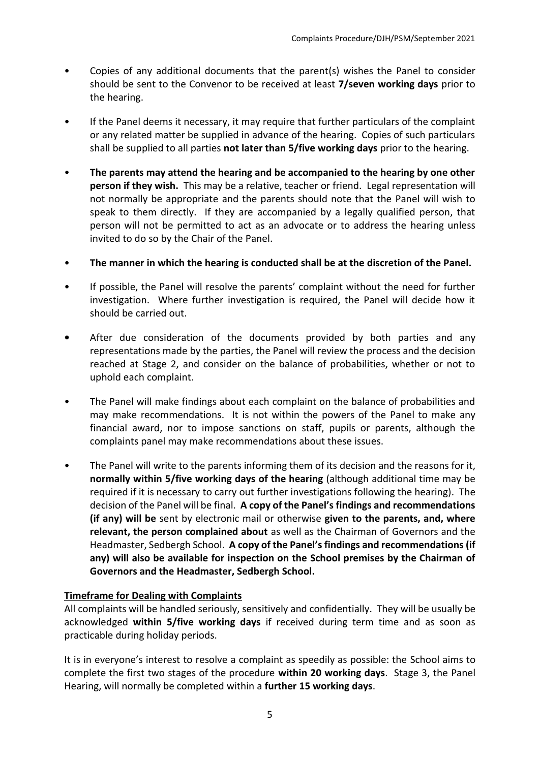- Copies of any additional documents that the parent(s) wishes the Panel to consider should be sent to the Convenor to be received at least **7/seven working days** prior to the hearing.
- If the Panel deems it necessary, it may require that further particulars of the complaint or any related matter be supplied in advance of the hearing. Copies of such particulars shall be supplied to all parties **not later than 5/five working days** prior to the hearing.
- **The parents may attend the hearing and be accompanied to the hearing by one other person if they wish.** This may be a relative, teacher or friend. Legal representation will not normally be appropriate and the parents should note that the Panel will wish to speak to them directly. If they are accompanied by a legally qualified person, that person will not be permitted to act as an advocate or to address the hearing unless invited to do so by the Chair of the Panel.
- **The manner in which the hearing is conducted shall be at the discretion of the Panel.**
- If possible, the Panel will resolve the parents' complaint without the need for further investigation. Where further investigation is required, the Panel will decide how it should be carried out.
- **•** After due consideration of the documents provided by both parties and any representations made by the parties, the Panel will review the process and the decision reached at Stage 2, and consider on the balance of probabilities, whether or not to uphold each complaint.
- The Panel will make findings about each complaint on the balance of probabilities and may make recommendations. It is not within the powers of the Panel to make any financial award, nor to impose sanctions on staff, pupils or parents, although the complaints panel may make recommendations about these issues.
- The Panel will write to the parents informing them of its decision and the reasons for it, **normally within 5/five working days of the hearing** (although additional time may be required if it is necessary to carry out further investigations following the hearing). The decision of the Panel will be final. **A copy of the Panel's findings and recommendations (if any) will be** sent by electronic mail or otherwise **given to the parents, and, where relevant, the person complained about** as well as the Chairman of Governors and the Headmaster, Sedbergh School. **A copy of the Panel's findings and recommendations (if any) will also be available for inspection on the School premises by the Chairman of Governors and the Headmaster, Sedbergh School.**

## **Timeframe for Dealing with Complaints**

All complaints will be handled seriously, sensitively and confidentially. They will be usually be acknowledged **within 5/five working days** if received during term time and as soon as practicable during holiday periods.

It is in everyone's interest to resolve a complaint as speedily as possible: the School aims to complete the first two stages of the procedure **within 20 working days**. Stage 3, the Panel Hearing, will normally be completed within a **further 15 working days**.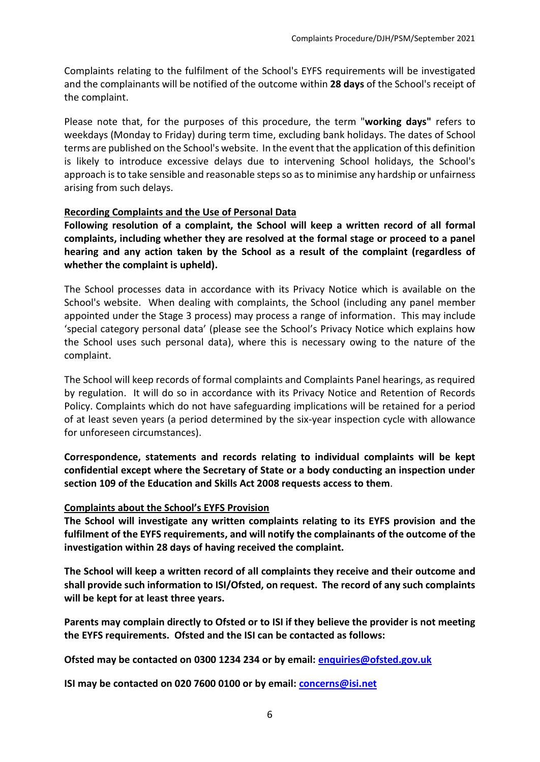Complaints relating to the fulfilment of the School's EYFS requirements will be investigated and the complainants will be notified of the outcome within **28 days** of the School's receipt of the complaint.

Please note that, for the purposes of this procedure, the term "**working days"** refers to weekdays (Monday to Friday) during term time, excluding bank holidays. The dates of School terms are published on the School's website. In the event that the application of this definition is likely to introduce excessive delays due to intervening School holidays, the School's approach is to take sensible and reasonable steps so as to minimise any hardship or unfairness arising from such delays.

#### **Recording Complaints and the Use of Personal Data**

**Following resolution of a complaint, the School will keep a written record of all formal complaints, including whether they are resolved at the formal stage or proceed to a panel hearing and any action taken by the School as a result of the complaint (regardless of whether the complaint is upheld).**

The School processes data in accordance with its Privacy Notice which is available on the School's website. When dealing with complaints, the School (including any panel member appointed under the Stage 3 process) may process a range of information. This may include 'special category personal data' (please see the School's Privacy Notice which explains how the School uses such personal data), where this is necessary owing to the nature of the complaint.

The School will keep records of formal complaints and Complaints Panel hearings, as required by regulation. It will do so in accordance with its Privacy Notice and Retention of Records Policy. Complaints which do not have safeguarding implications will be retained for a period of at least seven years (a period determined by the six-year inspection cycle with allowance for unforeseen circumstances).

**Correspondence, statements and records relating to individual complaints will be kept confidential except where the Secretary of State or a body conducting an inspection under section 109 of the Education and Skills Act 2008 requests access to them**.

## **Complaints about the School's EYFS Provision**

**The School will investigate any written complaints relating to its EYFS provision and the fulfilment of the EYFS requirements, and will notify the complainants of the outcome of the investigation within 28 days of having received the complaint.** 

**The School will keep a written record of all complaints they receive and their outcome and shall provide such information to ISI/Ofsted, on request. The record of any such complaints will be kept for at least three years.** 

**Parents may complain directly to Ofsted or to ISI if they believe the provider is not meeting the EYFS requirements. Ofsted and the ISI can be contacted as follows:** 

**Ofsted may be contacted on 0300 1234 234 or by email: [enquiries@ofsted.gov.uk](mailto:enquiries@ofsted.gov.uk)**

**ISI may be contacted on 020 7600 0100 or by email: [concerns@isi.net](mailto:concerns@isi.net)**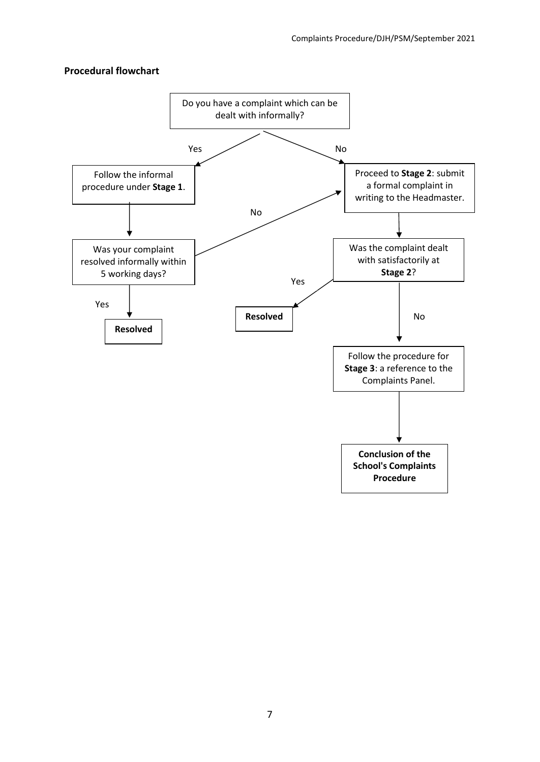#### **Procedural flowchart**